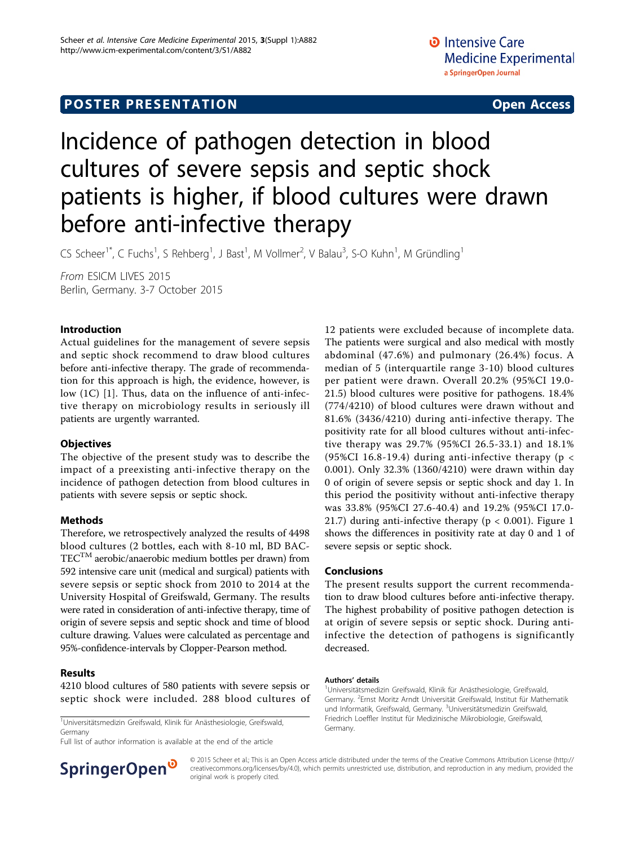# Incidence of pathogen detection in blood cultures of severe sepsis and septic shock patients is higher, if blood cultures were drawn before anti-infective therapy

CS Scheer<sup>1\*</sup>, C Fuchs<sup>1</sup>, S Rehberg<sup>1</sup>, J Bast<sup>1</sup>, M Vollmer<sup>2</sup>, V Balau<sup>3</sup>, S-O Kuhn<sup>1</sup>, M Gründling<sup>1</sup>

From ESICM LIVES 2015 Berlin, Germany. 3-7 October 2015

### Introduction

Actual guidelines for the management of severe sepsis and septic shock recommend to draw blood cultures before anti-infective therapy. The grade of recommendation for this approach is high, the evidence, however, is low (1C) [[1](#page-1-0)]. Thus, data on the influence of anti-infective therapy on microbiology results in seriously ill patients are urgently warranted.

### **Objectives**

The objective of the present study was to describe the impact of a preexisting anti-infective therapy on the incidence of pathogen detection from blood cultures in patients with severe sepsis or septic shock.

### Methods

Therefore, we retrospectively analyzed the results of 4498 blood cultures (2 bottles, each with 8-10 ml, BD BAC- $TEC^{TM}$  aerobic/anaerobic medium bottles per drawn) from 592 intensive care unit (medical and surgical) patients with severe sepsis or septic shock from 2010 to 2014 at the University Hospital of Greifswald, Germany. The results were rated in consideration of anti-infective therapy, time of origin of severe sepsis and septic shock and time of blood culture drawing. Values were calculated as percentage and 95%-confidence-intervals by Clopper-Pearson method.

#### Results

4210 blood cultures of 580 patients with severe sepsis or septic shock were included. 288 blood cultures of

<sup>1</sup>Universitätsmedizin Greifswald, Klinik für Anästhesiologie, Greifswald, Germany

Full list of author information is available at the end of the article

12 patients were excluded because of incomplete data. The patients were surgical and also medical with mostly abdominal (47.6%) and pulmonary (26.4%) focus. A median of 5 (interquartile range 3-10) blood cultures per patient were drawn. Overall 20.2% (95%CI 19.0- 21.5) blood cultures were positive for pathogens. 18.4% (774/4210) of blood cultures were drawn without and 81.6% (3436/4210) during anti-infective therapy. The positivity rate for all blood cultures without anti-infective therapy was 29.7% (95%CI 26.5-33.1) and 18.1% (95%CI 16.8-19.4) during anti-infective therapy ( $p <$ 0.001). Only 32.3% (1360/4210) were drawn within day 0 of origin of severe sepsis or septic shock and day 1. In this period the positivity without anti-infective therapy was 33.8% (95%CI 27.6-40.4) and 19.2% (95%CI 17.0- 21.7) during anti-infective therapy ( $p < 0.001$ ). Figure [1](#page-1-0) shows the differences in positivity rate at day 0 and 1 of severe sepsis or septic shock.

#### Conclusions

The present results support the current recommendation to draw blood cultures before anti-infective therapy. The highest probability of positive pathogen detection is at origin of severe sepsis or septic shock. During antiinfective the detection of pathogens is significantly decreased.

#### Authors' details <sup>1</sup>

<sup>1</sup>Universitätsmedizin Greifswald, Klinik für Anästhesiologie, Greifswald, Germany. <sup>2</sup>Ernst Moritz Arndt Universität Greifswald, Institut für Mathematik und Informatik, Greifswald, Germany. <sup>3</sup>Universitätsmedizin Greifswald, Friedrich Loeffler Institut für Medizinische Mikrobiologie, Greifswald, Germany.



© 2015 Scheer et al.; This is an Open Access article distributed under the terms of the Creative Commons Attribution License [\(http://](http://creativecommons.org/licenses/by/4.0) [creativecommons.org/licenses/by/4.0](http://creativecommons.org/licenses/by/4.0)), which permits unrestricted use, distribution, and reproduction in any medium, provided the original work is properly cited.